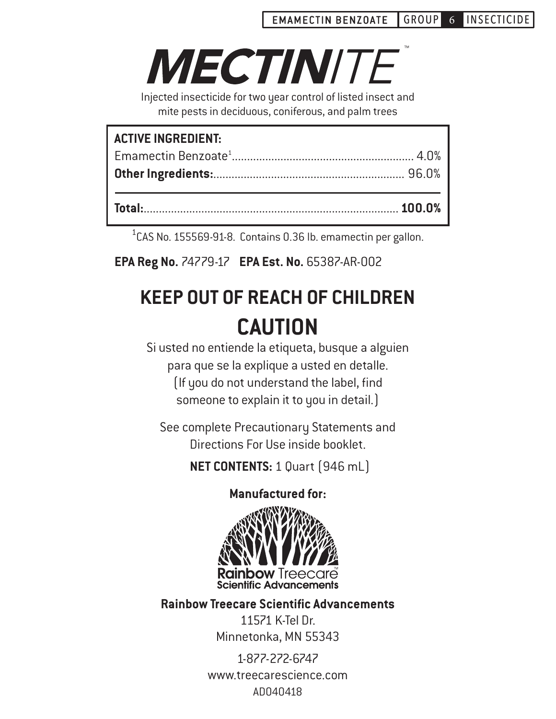# **MECTINITE**

Injected insecticide for two year control of listed insect and mite pests in deciduous, coniferous, and palm trees

| <b>ACTIVE INGREDIENT:</b> |  |
|---------------------------|--|
|                           |  |
|                           |  |
|                           |  |
|                           |  |
|                           |  |

<sup>1</sup>CAS No. 155569-91-8. Contains 0.36 lb. emamectin per gallon.

 **EPA Reg No.** 74779-17 **EPA Est. No.** 65387-AR-002

# **KEEP OUT OF REACH OF CHILDREN CAUTION**

Si usted no entiende la etiqueta, busque a alguien para que se la explique a usted en detalle. (If you do not understand the label, find someone to explain it to you in detail.)

See complete Precautionary Statements and Directions For Use inside booklet.

**NET CONTENTS:** 1 Quart (946 mL)

### **Manufactured for:**



**Rainbow Treecare Scientific Advancements**

11571 K-Tel Dr. Minnetonka, MN 55343

1-877-272-6747 www.treecarescience.com AD040418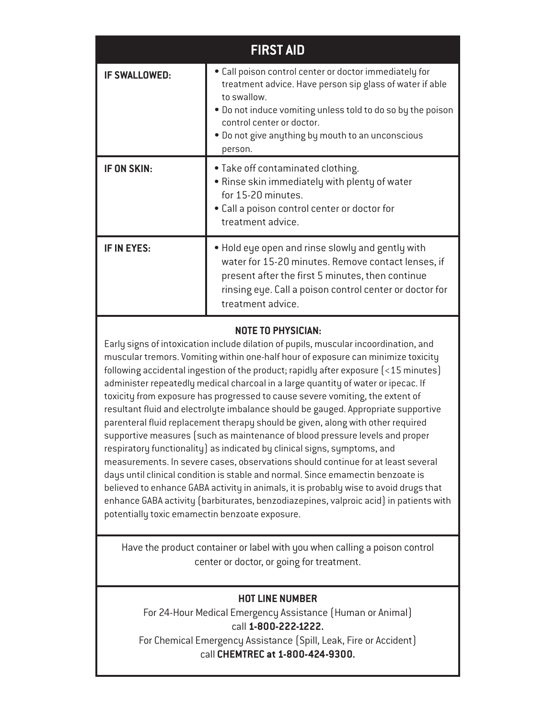| <b>FIRST AID</b>     |                                                                                                                                                                                                                                                                                               |  |  |
|----------------------|-----------------------------------------------------------------------------------------------------------------------------------------------------------------------------------------------------------------------------------------------------------------------------------------------|--|--|
| <b>IF SWALLOWED:</b> | . Call poison control center or doctor immediately for<br>treatment advice. Have person sip glass of water if able<br>to swallow.<br>. Do not induce vomiting unless told to do so by the poison<br>control center or doctor.<br>. Do not give anything by mouth to an unconscious<br>person. |  |  |
| IF ON SKIN:          | • Take off contaminated clothing.<br>. Rinse skin immediately with plenty of water<br>for 15-20 minutes.<br>• Call a poison control center or doctor for<br>treatment advice.                                                                                                                 |  |  |
| <b>IF IN EYES:</b>   | . Hold eye open and rinse slowly and gently with<br>water for 15-20 minutes. Remove contact lenses, if<br>present after the first 5 minutes, then continue<br>rinsing eye. Call a poison control center or doctor for<br>treatment advice.                                                    |  |  |

#### **NOTE TO PHYSICIAN:**

Early signs of intoxication include dilation of pupils, muscular incoordination, and muscular tremors. Vomiting within one-half hour of exposure can minimize toxicity following accidental ingestion of the product; rapidly after exposure (<15 minutes) administer repeatedly medical charcoal in a large quantity of water or ipecac. If toxicity from exposure has progressed to cause severe vomiting, the extent of resultant fluid and electrolyte imbalance should be gauged. Appropriate supportive parenteral fluid replacement therapy should be given, along with other required supportive measures (such as maintenance of blood pressure levels and proper respiratory functionality) as indicated by clinical signs, symptoms, and measurements. In severe cases, observations should continue for at least several days until clinical condition is stable and normal. Since emamectin benzoate is believed to enhance GABA activity in animals, it is probably wise to avoid drugs that enhance GABA activity (barbiturates, benzodiazepines, valproic acid) in patients with potentially toxic emamectin benzoate exposure.

Have the product container or label with you when calling a poison control center or doctor, or going for treatment.

#### **HOT LINE NUMBER**

For 24-Hour Medical Emergency Assistance (Human or Animal) call **1-800-222-1222.** For Chemical Emergency Assistance (Spill, Leak, Fire or Accident) call **CHEMTREC at 1-800-424-9300.**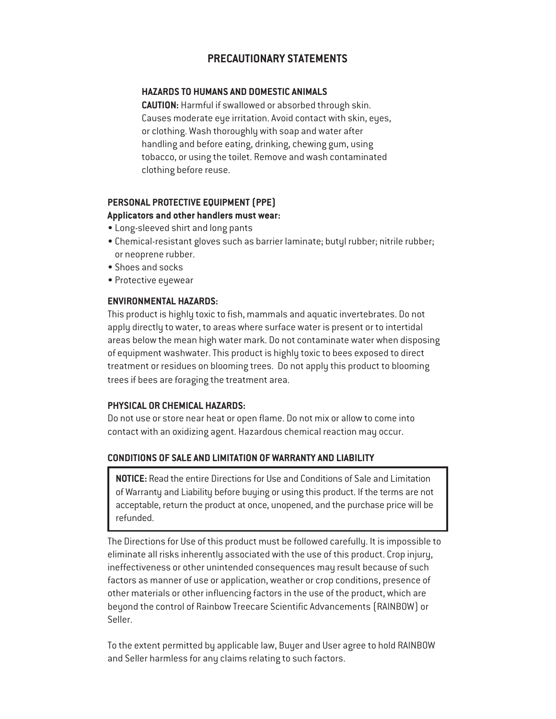#### **PRECAUTIONARY STATEMENTS**

#### **HAZARDS TO HUMANS AND DOMESTIC ANIMALS**

**CAUTION:** Harmful if swallowed or absorbed through skin. Causes moderate eye irritation. Avoid contact with skin, eyes, or clothing. Wash thoroughly with soap and water after handling and before eating, drinking, chewing gum, using tobacco, or using the toilet. Remove and wash contaminated clothing before reuse.

#### **PERSONAL PROTECTIVE EQUIPMENT (PPE)**

#### **Applicators and other handlers must wear:**

- Long-sleeved shirt and long pants
- Chemical-resistant gloves such as barrier laminate; butyl rubber; nitrile rubber; or neoprene rubber.
- Shoes and socks
- Protective eyewear

#### **ENVIRONMENTAL HAZARDS:**

This product is highly toxic to fish, mammals and aquatic invertebrates. Do not apply directly to water, to areas where surface water is present or to intertidal areas below the mean high water mark. Do not contaminate water when disposing of equipment washwater. This product is highly toxic to bees exposed to direct treatment or residues on blooming trees. Do not apply this product to blooming trees if bees are foraging the treatment area.

#### **PHYSICAL OR CHEMICAL HAZARDS:**

Do not use or store near heat or open flame. Do not mix or allow to come into contact with an oxidizing agent. Hazardous chemical reaction may occur.

#### **CONDITIONS OF SALE AND LIMITATION OF WARRANTY AND LIABILITY**

**NOTICE:** Read the entire Directions for Use and Conditions of Sale and Limitation of Warranty and Liability before buying or using this product. If the terms are not acceptable, return the product at once, unopened, and the purchase price will be refunded.

The Directions for Use of this product must be followed carefully. It is impossible to eliminate all risks inherently associated with the use of this product. Crop injury, ineffectiveness or other unintended consequences may result because of such factors as manner of use or application, weather or crop conditions, presence of other materials or other influencing factors in the use of the product, which are beyond the control of Rainbow Treecare Scientific Advancements (RAINBOW) or Seller.

To the extent permitted by applicable law, Buyer and User agree to hold RAINBOW and Seller harmless for any claims relating to such factors.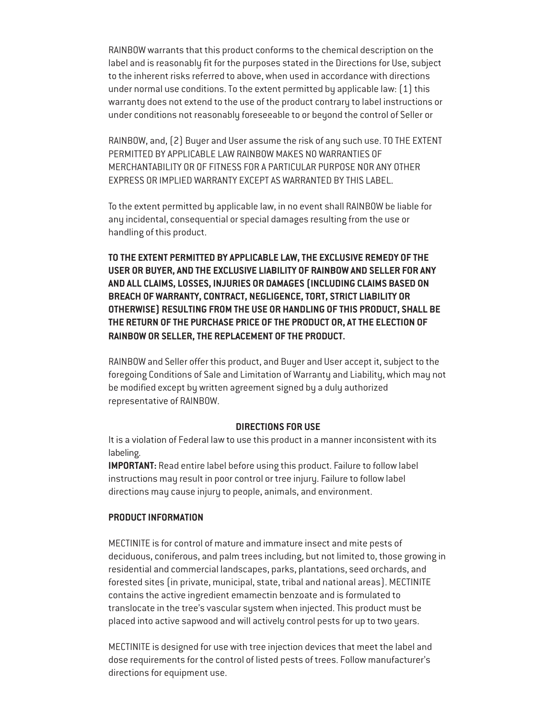RAINBOW warrants that this product conforms to the chemical description on the label and is reasonably fit for the purposes stated in the Directions for Use, subject to the inherent risks referred to above, when used in accordance with directions under normal use conditions. To the extent permitted by applicable law: (1) this warranty does not extend to the use of the product contrary to label instructions or under conditions not reasonably foreseeable to or beyond the control of Seller or

RAINBOW, and, (2) Buyer and User assume the risk of any such use. TO THE EXTENT PERMITTED BY APPLICABLE LAW RAINBOW MAKES NO WARRANTIES OF MERCHANTABILITY OR OF FITNESS FOR A PARTICULAR PURPOSE NOR ANY OTHER EXPRESS OR IMPLIED WARRANTY EXCEPT AS WARRANTED BY THIS LABEL.

To the extent permitted by applicable law, in no event shall RAINBOW be liable for any incidental, consequential or special damages resulting from the use or handling of this product.

**TO THE EXTENT PERMITTED BY APPLICABLE LAW, THE EXCLUSIVE REMEDY OF THE USER OR BUYER, AND THE EXCLUSIVE LIABILITY OF RAINBOW AND SELLER FOR ANY AND ALL CLAIMS, LOSSES, INJURIES OR DAMAGES (INCLUDING CLAIMS BASED ON BREACH OF WARRANTY, CONTRACT, NEGLIGENCE, TORT, STRICT LIABILITY OR OTHERWISE) RESULTING FROM THE USE OR HANDLING OF THIS PRODUCT, SHALL BE THE RETURN OF THE PURCHASE PRICE OF THE PRODUCT OR, AT THE ELECTION OF RAINBOW OR SELLER, THE REPLACEMENT OF THE PRODUCT.**

RAINBOW and Seller offer this product, and Buyer and User accept it, subject to the foregoing Conditions of Sale and Limitation of Warranty and Liability, which may not be modified except by written agreement signed by a duly authorized representative of RAINBOW.

#### **DIRECTIONS FOR USE**

It is a violation of Federal law to use this product in a manner inconsistent with its labeling.

**IMPORTANT:** Read entire label before using this product. Failure to follow label instructions may result in poor control or tree injury. Failure to follow label directions may cause injury to people, animals, and environment.

#### **PRODUCT INFORMATION**

MECTINITE is for control of mature and immature insect and mite pests of deciduous, coniferous, and palm trees including, but not limited to, those growing in residential and commercial landscapes, parks, plantations, seed orchards, and forested sites (in private, municipal, state, tribal and national areas). MECTINITE contains the active ingredient emamectin benzoate and is formulated to translocate in the tree's vascular system when injected. This product must be placed into active sapwood and will actively control pests for up to two years.

MECTINITE is designed for use with tree injection devices that meet the label and dose requirements for the control of listed pests of trees. Follow manufacturer's directions for equipment use.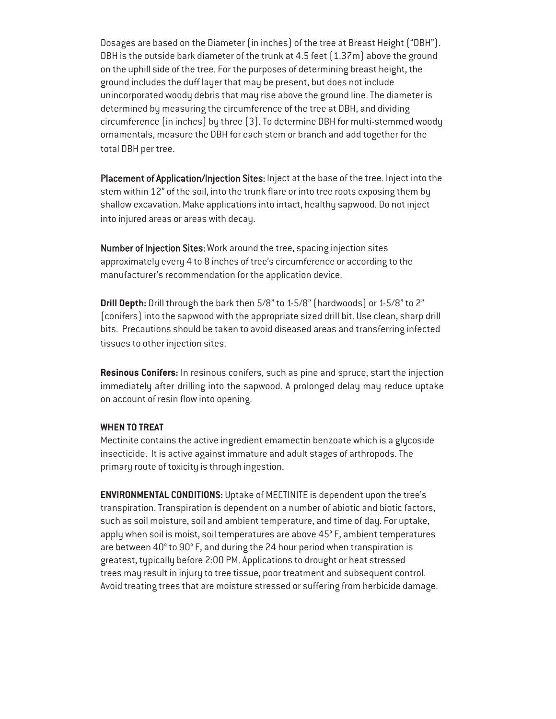Dosages are based on the Diameter (in inches) of the tree at Breast Height ("DBH"). DBH is the outside bark diameter of the trunk at 4.5 feet  $(1.37m)$  above the ground on the uphill side of the tree. For the purposes of determining breast height, the ground includes the duff layer that may be present, but does not include unincorporated woody debris that may rise above the ground line. The diameter is determined by measuring the circumference of the tree at DBH, and dividing circumference (in inches) by three (3). To determine DBH for multi-stemmed woody ornamentals, measure the DBH for each stem or branch and add together for the total DBH per tree.

Placement of Application/Injection Sites: Inject at the base of the tree. Inject into the stem within 12" of the soil, into the trunk flare or into tree roots exposing them by shallow excavation. Make applications into intact, healthy sapwood. Do not inject into injured areas or areas with decay.

Number of Injection Sites: Work around the tree, spacing injection sites approximately every 4 to 8 inches of tree's circumference or according to the manufacturer's recommendation for the application device.

**Drill Depth:** Drill through the bark then 5/8" to 1-5/8" (hardwoods) or 1-5/8" to 2" (conifers) into the sapwood with the appropriate sized drill bit. Use clean, sharp drill bits. Precautions should be taken to avoid diseased areas and transferring infected tissues to other injection sites.

**Resinous Conifers:** In resinous conifers, such as pine and spruce, start the injection immediately after drilling into the sapwood. A prolonged delay may reduce uptake on account of resin flow into opening.

#### **WHEN TO TREAT**

Mectinite contains the active ingredient emamectin benzoate which is a glycoside insecticide. It is active against immature and adult stages of arthropods. The primary route of toxicity is through ingestion.

**ENVIRONMENTAL CONDITIONS:** Uptake of MECTINITE is dependent upon the tree's transpiration. Transpiration is dependent on a number of abiotic and biotic factors, such as soil moisture, soil and ambient temperature, and time of day. For uptake, apply when soil is moist, soil temperatures are above 45° F, ambient temperatures are between 40° to 90° F, and during the 24 hour period when transpiration is greatest, typically before 2:00 PM. Applications to drought or heat stressed trees may result in injury to tree tissue, poor treatment and subsequent control. Avoid treating trees that are moisture stressed or suffering from herbicide damage.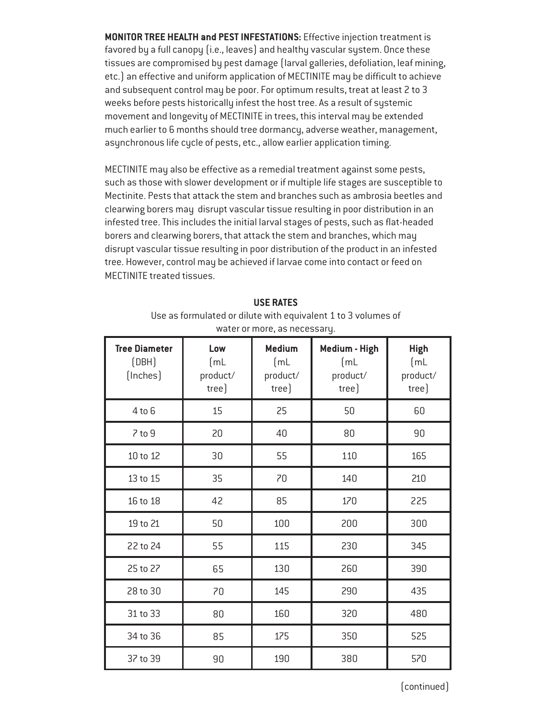**MONITOR TREE HEALTH and PEST INFESTATIONS:** Effective injection treatment is favored by a full canopy (i.e., leaves) and healthy vascular system. Once these tissues are compromised by pest damage (larval galleries, defoliation, leaf mining, etc.) an effective and uniform application of MECTINITE may be difficult to achieve and subsequent control may be poor. For optimum results, treat at least 2 to 3 weeks before pests historically infest the host tree. As a result of systemic movement and longevity of MECTINITE in trees, this interval may be extended much earlier to 6 months should tree dormancy, adverse weather, management, asynchronous life cycle of pests, etc., allow earlier application timing.

MECTINITE may also be effective as a remedial treatment against some pests, such as those with slower development or if multiple life stages are susceptible to Mectinite. Pests that attack the stem and branches such as ambrosia beetles and clearwing borers may disrupt vascular tissue resulting in poor distribution in an infested tree. This includes the initial larval stages of pests, such as flat-headed borers and clearwing borers, that attack the stem and branches, which may disrupt vascular tissue resulting in poor distribution of the product in an infested tree. However, control may be achieved if larvae come into contact or feed on MECTINITE treated tissues.

| water or more, as necessary.              |                                  |                                            |                                            |                                          |
|-------------------------------------------|----------------------------------|--------------------------------------------|--------------------------------------------|------------------------------------------|
| <b>Tree Diameter</b><br>(DBH)<br>(Inches) | Low<br>[ML]<br>product/<br>tree) | <b>Medium</b><br>[mL]<br>product/<br>tree) | Medium - High<br>[mL]<br>product/<br>tree] | <b>High</b><br>[mL]<br>product/<br>tree] |
| $4$ to $6$                                | 15                               | 25                                         | 50                                         | 60                                       |
| $7$ to $9$                                | 20                               | 40                                         | 80                                         | 90                                       |
| 10 to 12                                  | 30                               | 55                                         | 110                                        | 165                                      |
| 13 to 15                                  | 35                               | 70                                         | 140                                        | 210                                      |
| 16 to 18                                  | 42                               | 85                                         | 170                                        | 225                                      |
| 19 to 21                                  | 50                               | 100                                        | 200                                        | 300                                      |
| 22 to 24                                  | 55                               | 115                                        | 230                                        | 345                                      |
| 25 to 27                                  | 65                               | 130                                        | 260                                        | 390                                      |
| 28 to 30                                  | 70                               | 145                                        | 290                                        | 435                                      |
| 31 to 33                                  | 80                               | 160                                        | 320                                        | 480                                      |
| 34 to 36                                  | 85                               | 175                                        | 350                                        | 525                                      |
| 37 to 39                                  | 90                               | 190                                        | 380                                        | 570                                      |

#### **USE RATES**

Use as formulated or dilute with equivalent 1 to 3 volumes of water or more, as necessary.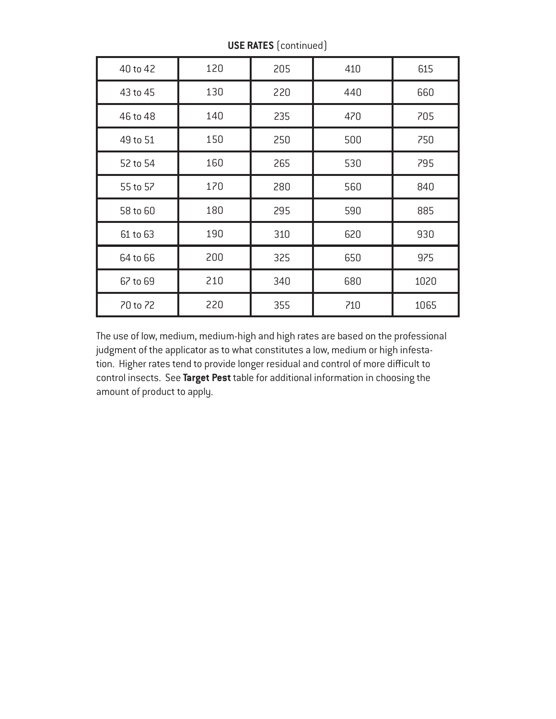| 40 to 42 | 120 | 205 | 410 | 615  |
|----------|-----|-----|-----|------|
| 43 to 45 | 130 | 220 | 440 | 660  |
| 46 to 48 | 140 | 235 | 470 | 705  |
| 49 to 51 | 150 | 250 | 500 | 750  |
| 52 to 54 | 160 | 265 | 530 | 795  |
| 55 to 57 | 170 | 280 | 560 | 840  |
| 58 to 60 | 180 | 295 | 590 | 885  |
| 61 to 63 | 190 | 310 | 620 | 930  |
| 64 to 66 | 200 | 325 | 650 | 975  |
| 67 to 69 | 210 | 340 | 680 | 1020 |
| 70 to 72 | 220 | 355 | 710 | 1065 |

**USE RATES** (continued)

The use of low, medium, medium-high and high rates are based on the professional judgment of the applicator as to what constitutes a low, medium or high infestation. Higher rates tend to provide longer residual and control of more difficult to control insects. See **Target Pest** table for additional information in choosing the amount of product to apply.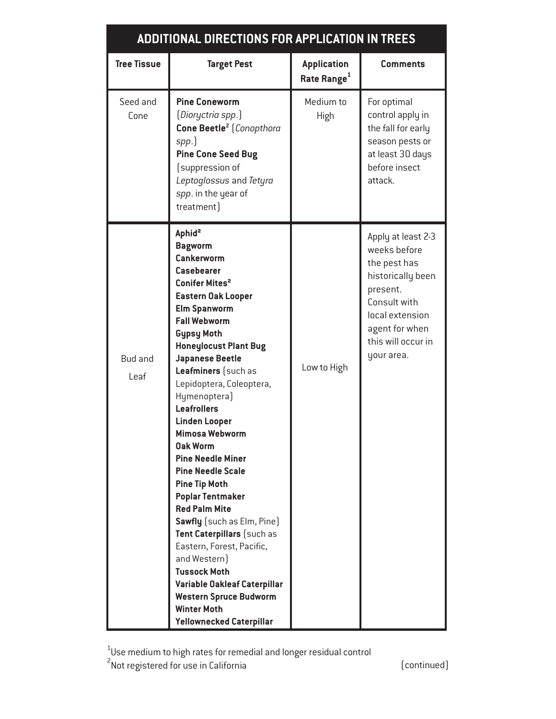## **ADDITIONAL DIRECTIONS FOR APPLICATION IN TREES**

| <b>Tree Tissue</b>     | <b>Target Pest</b>                                                                                                                                                                                                                                                                                                                                                                                                                                                                                                                                                                                                                                                                                                                                                                                                               | <b>Application</b><br>Rate Range <sup>1</sup> | <b>Comments</b>                                                                                                                                                              |
|------------------------|----------------------------------------------------------------------------------------------------------------------------------------------------------------------------------------------------------------------------------------------------------------------------------------------------------------------------------------------------------------------------------------------------------------------------------------------------------------------------------------------------------------------------------------------------------------------------------------------------------------------------------------------------------------------------------------------------------------------------------------------------------------------------------------------------------------------------------|-----------------------------------------------|------------------------------------------------------------------------------------------------------------------------------------------------------------------------------|
| Seed and<br>Cone       | <b>Pine Coneworm</b><br>(Dioryctria spp.)<br>Cone Beetle <sup>2</sup> (Conopthora<br>spp.)<br><b>Pine Cone Seed Bug</b><br>(suppression of<br>Leptoglossus and Tetyra<br>spp. in the year of<br>treatment)                                                                                                                                                                                                                                                                                                                                                                                                                                                                                                                                                                                                                       | Medium to<br>High                             | For optimal<br>control apply in<br>the fall for early<br>season pests or<br>at least 30 days<br>before insect<br>attack.                                                     |
| <b>Bud and</b><br>Leaf | Aphid <sup>2</sup><br><b>Bagworm</b><br>Cankerworm<br><b>Casebearer</b><br>Conifer Mites <sup>2</sup><br><b>Eastern Oak Looper</b><br><b>Elm Spanworm</b><br><b>Fall Webworm</b><br><b>Gypsy Moth</b><br><b>Honeylocust Plant Bug</b><br><b>Japanese Beetle</b><br>Leafminers (such as<br>Lepidoptera, Coleoptera,<br>Hymenoptera)<br><b>Leafrollers</b><br><b>Linden Looper</b><br><b>Mimosa Webworm</b><br><b>Oak Worm</b><br><b>Pine Needle Miner</b><br><b>Pine Needle Scale</b><br><b>Pine Tip Moth</b><br><b>Poplar Tentmaker</b><br><b>Red Palm Mite</b><br><b>Sawfly</b> (such as Elm, Pine)<br>Tent Caterpillars (such as<br>Eastern, Forest, Pacific,<br>and Western)<br><b>Tussock Moth</b><br>Variable Oakleaf Caterpillar<br><b>Western Spruce Budworm</b><br><b>Winter Moth</b><br><b>Yellownecked Caterpillar</b> | Low to High                                   | Apply at least 2-3<br>weeks before<br>the pest has<br>historically been<br>present.<br>Consult with<br>local extension<br>agent for when<br>this will occur in<br>your area. |

 $^{\text{1}}$ Use medium to high rates for remedial and longer residual control  $^{\text{2}}$ Not registered for use in California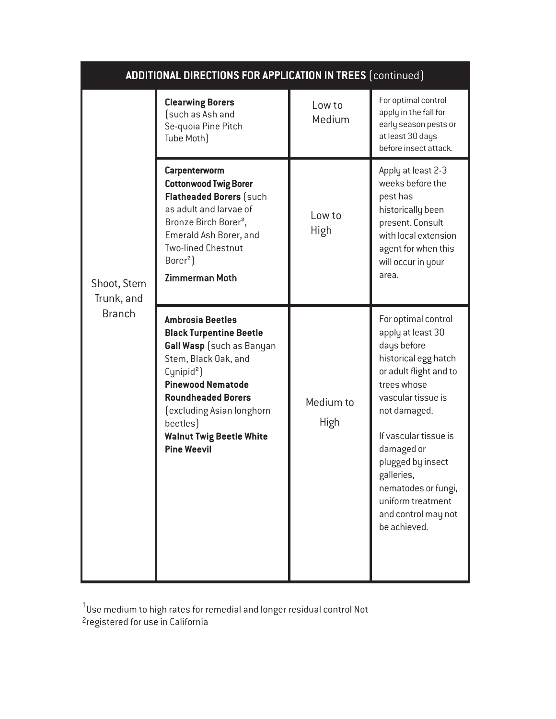| <b>ADDITIONAL DIRECTIONS FOR APPLICATION IN TREES (continued)</b> |                                                                                                                                                                                                                                                                                                     |                          |                                                                                                                                                                                                                                                                                                                             |  |
|-------------------------------------------------------------------|-----------------------------------------------------------------------------------------------------------------------------------------------------------------------------------------------------------------------------------------------------------------------------------------------------|--------------------------|-----------------------------------------------------------------------------------------------------------------------------------------------------------------------------------------------------------------------------------------------------------------------------------------------------------------------------|--|
| Shoot, Stem<br>Trunk, and                                         | <b>Clearwing Borers</b><br>(such as Ash and<br>Se-quoia Pine Pitch<br>Tube Moth)                                                                                                                                                                                                                    | Low to<br>Medium         | For optimal control<br>apply in the fall for<br>early season pests or<br>at least 30 days<br>before insect attack.                                                                                                                                                                                                          |  |
|                                                                   | <b>Carpenterworm</b><br><b>Cottonwood Twig Borer</b><br><b>Flatheaded Borers (such</b><br>as adult and larvae of<br>Bronze Birch Borer <sup>2</sup> ,<br>Emerald Ash Borer, and<br><b>Two-lined Chestnut</b><br>Borer <sup>2</sup> )<br><b>Zimmerman Moth</b>                                       | Low to<br><b>High</b>    | Apply at least 2-3<br>weeks before the<br>pest has<br>historically been<br>present. Consult<br>with local extension<br>agent for when this<br>will occur in your<br>area.                                                                                                                                                   |  |
| <b>Branch</b>                                                     | <b>Ambrosia Beetles</b><br><b>Black Turpentine Beetle</b><br>Gall Wasp (such as Banyan<br>Stem, Black Oak, and<br>Cynipid <sup>2</sup> )<br><b>Pinewood Nematode</b><br><b>Roundheaded Borers</b><br>(excluding Asian longhorn<br>beetles)<br><b>Walnut Twig Beetle White</b><br><b>Pine Weevil</b> | Medium to<br><b>High</b> | For optimal control<br>apply at least 30<br>days before<br>historical egg hatch<br>or adult flight and to<br>trees whose<br>vascular tissue is<br>not damaged.<br>If vascular tissue is<br>damaged or<br>plugged by insect<br>galleries,<br>nematodes or fungi,<br>uniform treatment<br>and control may not<br>be achieved. |  |

1 2 Use medium to high rates for remedial and longer residual control Not registered for use in California